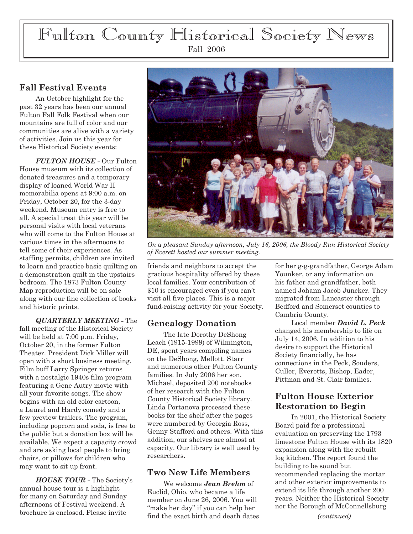# Fulton County Historical Society News Fall 2006

## **Fall Festival Events**

An October highlight for the past 32 years has been our annual Fulton Fall Folk Festival when our mountains are full of color and our communities are alive with a variety of activities. Join us this year for these Historical Society events:

*FULTON HOUSE -* Our Fulton House museum with its collection of donated treasures and a temporary display of loaned World War II memorabilia opens at 9:00 a.m. on Friday, October 20, for the 3-day weekend. Museum entry is free to all. A special treat this year will be personal visits with local veterans who will come to the Fulton House at various times in the afternoons to tell some of their experiences. As staffing permits, children are invited to learn and practice basic quilting on a demonstration quilt in the upstairs bedroom. The 1873 Fulton County Map reproduction will be on sale along with our fine collection of books and historic prints.

*QUARTERLY MEETING -* The fall meeting of the Historical Society will be held at 7:00 p.m. Friday, October 20, in the former Fulton Theater. President Dick Miller will open with a short business meeting. Film buff Larry Springer returns with a nostalgic 1940s film program featuring a Gene Autry movie with all your favorite songs. The show begins with an old color cartoon, a Laurel and Hardy comedy and a few preview trailers. The program, including popcorn and soda, is free to the public but a donation box will be available. We expect a capacity crowd and are asking local people to bring chairs, or pillows for children who may want to sit up front.

*HOUSE TOUR -* The Society's annual house tour is a highlight for many on Saturday and Sunday afternoons of Festival weekend. A brochure is enclosed. Please invite



*On a pleasant Sunday afternoon, July 16, 2006, the Bloody Run Historical Society of Everett hosted our summer meeting.*

friends and neighbors to accept the gracious hospitality offered by these local families. Your contribution of \$10 is encouraged even if you can't visit all five places. This is a major fund-raising activity for your Society.

### **Genealogy Donation**

The late Dorothy DeShong Leach (1915-1999) of Wilmington, DE, spent years compiling names on the DeShong, Mellott, Starr and numerous other Fulton County families. In July 2006 her son, Michael, deposited 200 notebooks of her research with the Fulton County Historical Society library. Linda Portanova processed these books for the shelf after the pages were numbered by Georgia Ross, Genny Stafford and others. With this addition, our shelves are almost at capacity. Our library is well used by researchers.

#### **Two New Life Members**

We welcome *Jean Brehm* of Euclid, Ohio, who became a life member on June 26, 2006. You will "make her day" if you can help her find the exact birth and death dates for her g-g-grandfather, George Adam Younker, or any information on his father and grandfather, both named Johann Jacob Juncker. They migrated from Lancaster through Bedford and Somerset counties to Cambria County.

Local member *David L. Peck* changed his membership to life on July 14, 2006. In addition to his desire to support the Historical Society financially, he has connections in the Peck, Souders, Culler, Everetts, Bishop, Eader, Pittman and St. Clair families.

# **Fulton House Exterior Restoration to Begin**

In 2001, the Historical Society Board paid for a professional evaluation on preserving the 1793 limestone Fulton House with its 1820 expansion along with the rebuilt log kitchen. The report found the building to be sound but recommended replacing the mortar and other exterior improvements to extend its life through another 200 years. Neither the Historical Society nor the Borough of McConnellsburg

*(continued)*